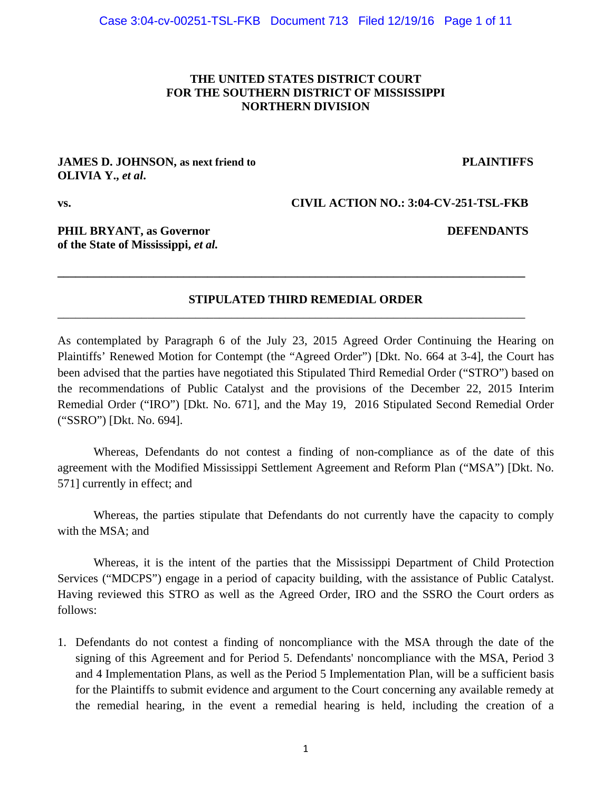## **THE UNITED STATES DISTRICT COURT FOR THE SOUTHERN DISTRICT OF MISSISSIPPI NORTHERN DIVISION**

#### **JAMES D. JOHNSON, as next friend to PLAINTIFFS OLIVIA Y.,** *et al***.**

**vs. CIVIL ACTION NO.: 3:04-CV-251-TSL-FKB** 

## **PHIL BRYANT, as Governor DEFENDANTS of the State of Mississippi,** *et al.*

## **STIPULATED THIRD REMEDIAL ORDER**

**\_\_\_\_\_\_\_\_\_\_\_\_\_\_\_\_\_\_\_\_\_\_\_\_\_\_\_\_\_\_\_\_\_\_\_\_\_\_\_\_\_\_\_\_\_\_\_\_\_\_\_\_\_\_\_\_\_\_\_\_\_\_\_\_\_\_\_\_\_\_\_\_\_\_\_\_\_\_** 

\_\_\_\_\_\_\_\_\_\_\_\_\_\_\_\_\_\_\_\_\_\_\_\_\_\_\_\_\_\_\_\_\_\_\_\_\_\_\_\_\_\_\_\_\_\_\_\_\_\_\_\_\_\_\_\_\_\_\_\_\_\_\_\_\_\_\_\_\_\_\_\_\_\_\_\_\_\_

As contemplated by Paragraph 6 of the July 23, 2015 Agreed Order Continuing the Hearing on Plaintiffs' Renewed Motion for Contempt (the "Agreed Order") [Dkt. No. 664 at 3-4], the Court has been advised that the parties have negotiated this Stipulated Third Remedial Order ("STRO") based on the recommendations of Public Catalyst and the provisions of the December 22, 2015 Interim Remedial Order ("IRO") [Dkt. No. 671], and the May 19, 2016 Stipulated Second Remedial Order ("SSRO") [Dkt. No. 694].

Whereas, Defendants do not contest a finding of non-compliance as of the date of this agreement with the Modified Mississippi Settlement Agreement and Reform Plan ("MSA") [Dkt. No. 571] currently in effect; and

Whereas, the parties stipulate that Defendants do not currently have the capacity to comply with the MSA; and

Whereas, it is the intent of the parties that the Mississippi Department of Child Protection Services ("MDCPS") engage in a period of capacity building, with the assistance of Public Catalyst. Having reviewed this STRO as well as the Agreed Order, IRO and the SSRO the Court orders as follows:

1. Defendants do not contest a finding of noncompliance with the MSA through the date of the signing of this Agreement and for Period 5. Defendants' noncompliance with the MSA, Period 3 and 4 Implementation Plans, as well as the Period 5 Implementation Plan, will be a sufficient basis for the Plaintiffs to submit evidence and argument to the Court concerning any available remedy at the remedial hearing, in the event a remedial hearing is held, including the creation of a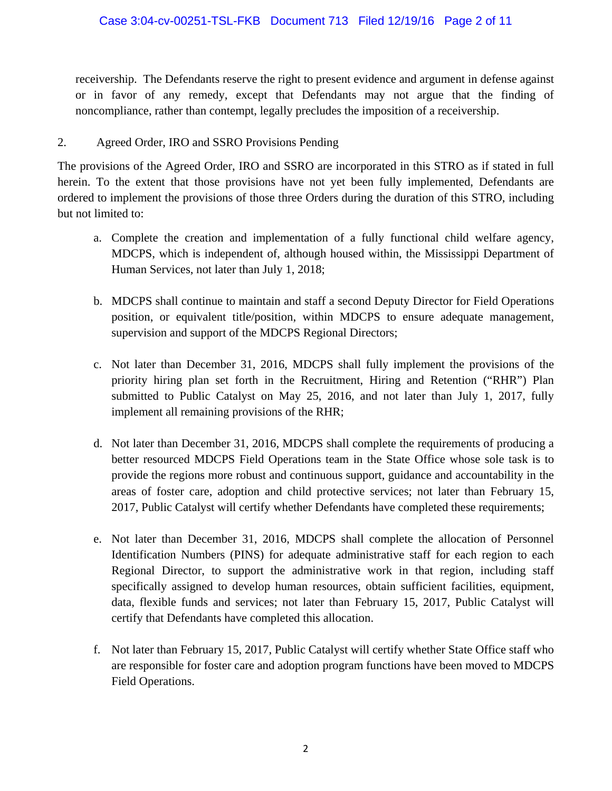receivership. The Defendants reserve the right to present evidence and argument in defense against or in favor of any remedy, except that Defendants may not argue that the finding of noncompliance, rather than contempt, legally precludes the imposition of a receivership.

## 2. Agreed Order, IRO and SSRO Provisions Pending

The provisions of the Agreed Order, IRO and SSRO are incorporated in this STRO as if stated in full herein. To the extent that those provisions have not yet been fully implemented, Defendants are ordered to implement the provisions of those three Orders during the duration of this STRO, including but not limited to:

- a. Complete the creation and implementation of a fully functional child welfare agency, MDCPS, which is independent of, although housed within, the Mississippi Department of Human Services, not later than July 1, 2018;
- b. MDCPS shall continue to maintain and staff a second Deputy Director for Field Operations position, or equivalent title/position, within MDCPS to ensure adequate management, supervision and support of the MDCPS Regional Directors;
- c. Not later than December 31, 2016, MDCPS shall fully implement the provisions of the priority hiring plan set forth in the Recruitment, Hiring and Retention ("RHR") Plan submitted to Public Catalyst on May 25, 2016, and not later than July 1, 2017, fully implement all remaining provisions of the RHR;
- d. Not later than December 31, 2016, MDCPS shall complete the requirements of producing a better resourced MDCPS Field Operations team in the State Office whose sole task is to provide the regions more robust and continuous support, guidance and accountability in the areas of foster care, adoption and child protective services; not later than February 15, 2017, Public Catalyst will certify whether Defendants have completed these requirements;
- e. Not later than December 31, 2016, MDCPS shall complete the allocation of Personnel Identification Numbers (PINS) for adequate administrative staff for each region to each Regional Director, to support the administrative work in that region, including staff specifically assigned to develop human resources, obtain sufficient facilities, equipment, data, flexible funds and services; not later than February 15, 2017, Public Catalyst will certify that Defendants have completed this allocation.
- f. Not later than February 15, 2017, Public Catalyst will certify whether State Office staff who are responsible for foster care and adoption program functions have been moved to MDCPS Field Operations.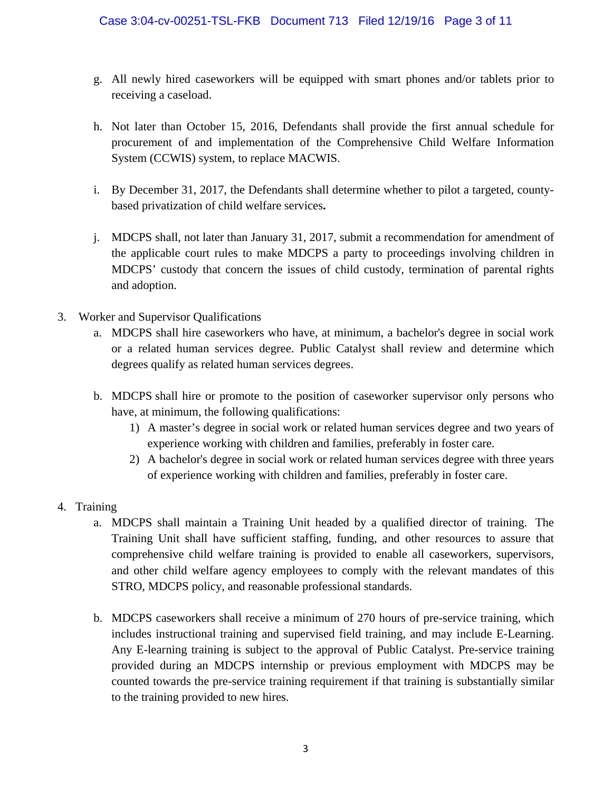- g. All newly hired caseworkers will be equipped with smart phones and/or tablets prior to receiving a caseload.
- h. Not later than October 15, 2016, Defendants shall provide the first annual schedule for procurement of and implementation of the Comprehensive Child Welfare Information System (CCWIS) system, to replace MACWIS.
- i. By December 31, 2017, the Defendants shall determine whether to pilot a targeted, countybased privatization of child welfare services**.**
- j. MDCPS shall, not later than January 31, 2017, submit a recommendation for amendment of the applicable court rules to make MDCPS a party to proceedings involving children in MDCPS' custody that concern the issues of child custody, termination of parental rights and adoption.
- 3. Worker and Supervisor Qualifications
	- a. MDCPS shall hire caseworkers who have, at minimum, a bachelor's degree in social work or a related human services degree. Public Catalyst shall review and determine which degrees qualify as related human services degrees.
	- b. MDCPS shall hire or promote to the position of caseworker supervisor only persons who have, at minimum, the following qualifications:
		- 1) A master's degree in social work or related human services degree and two years of experience working with children and families, preferably in foster care.
		- 2) A bachelor's degree in social work or related human services degree with three years of experience working with children and families, preferably in foster care.
- 4. Training
	- a. MDCPS shall maintain a Training Unit headed by a qualified director of training. The Training Unit shall have sufficient staffing, funding, and other resources to assure that comprehensive child welfare training is provided to enable all caseworkers, supervisors, and other child welfare agency employees to comply with the relevant mandates of this STRO, MDCPS policy, and reasonable professional standards.
	- b. MDCPS caseworkers shall receive a minimum of 270 hours of pre-service training, which includes instructional training and supervised field training, and may include E-Learning. Any E-learning training is subject to the approval of Public Catalyst. Pre-service training provided during an MDCPS internship or previous employment with MDCPS may be counted towards the pre-service training requirement if that training is substantially similar to the training provided to new hires.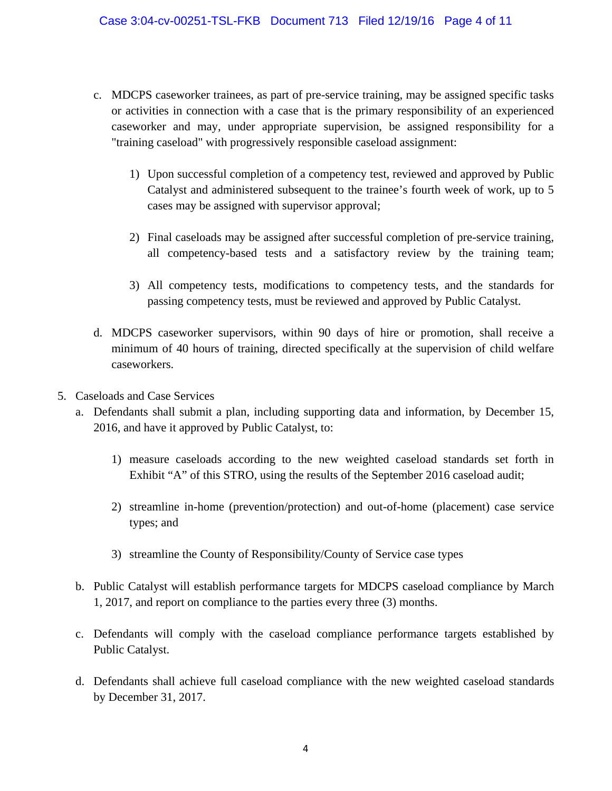- c. MDCPS caseworker trainees, as part of pre-service training, may be assigned specific tasks or activities in connection with a case that is the primary responsibility of an experienced caseworker and may, under appropriate supervision, be assigned responsibility for a "training caseload" with progressively responsible caseload assignment:
	- 1) Upon successful completion of a competency test, reviewed and approved by Public Catalyst and administered subsequent to the trainee's fourth week of work, up to 5 cases may be assigned with supervisor approval;
	- 2) Final caseloads may be assigned after successful completion of pre-service training, all competency-based tests and a satisfactory review by the training team;
	- 3) All competency tests, modifications to competency tests, and the standards for passing competency tests, must be reviewed and approved by Public Catalyst.
- d. MDCPS caseworker supervisors, within 90 days of hire or promotion, shall receive a minimum of 40 hours of training, directed specifically at the supervision of child welfare caseworkers.
- 5. Caseloads and Case Services
	- a. Defendants shall submit a plan, including supporting data and information, by December 15, 2016, and have it approved by Public Catalyst, to:
		- 1) measure caseloads according to the new weighted caseload standards set forth in Exhibit "A" of this STRO, using the results of the September 2016 caseload audit;
		- 2) streamline in-home (prevention/protection) and out-of-home (placement) case service types; and
		- 3) streamline the County of Responsibility/County of Service case types
	- b. Public Catalyst will establish performance targets for MDCPS caseload compliance by March 1, 2017, and report on compliance to the parties every three (3) months.
	- c. Defendants will comply with the caseload compliance performance targets established by Public Catalyst.
	- d. Defendants shall achieve full caseload compliance with the new weighted caseload standards by December 31, 2017.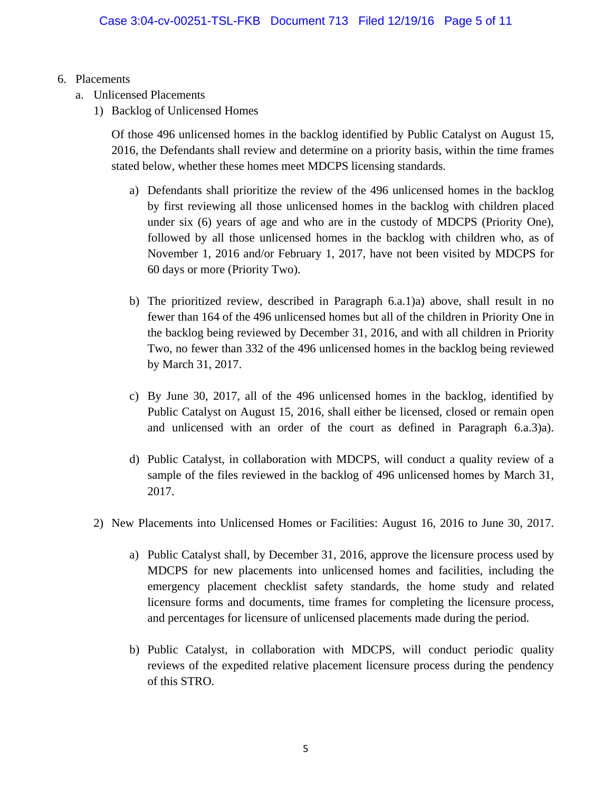- 6. Placements
	- a. Unlicensed Placements
		- 1) Backlog of Unlicensed Homes

Of those 496 unlicensed homes in the backlog identified by Public Catalyst on August 15, 2016, the Defendants shall review and determine on a priority basis, within the time frames stated below, whether these homes meet MDCPS licensing standards.

- a) Defendants shall prioritize the review of the 496 unlicensed homes in the backlog by first reviewing all those unlicensed homes in the backlog with children placed under six (6) years of age and who are in the custody of MDCPS (Priority One), followed by all those unlicensed homes in the backlog with children who, as of November 1, 2016 and/or February 1, 2017, have not been visited by MDCPS for 60 days or more (Priority Two).
- b) The prioritized review, described in Paragraph 6.a.1)a) above, shall result in no fewer than 164 of the 496 unlicensed homes but all of the children in Priority One in the backlog being reviewed by December 31, 2016, and with all children in Priority Two, no fewer than 332 of the 496 unlicensed homes in the backlog being reviewed by March 31, 2017.
- c) By June 30, 2017, all of the 496 unlicensed homes in the backlog, identified by Public Catalyst on August 15, 2016, shall either be licensed, closed or remain open and unlicensed with an order of the court as defined in Paragraph 6.a.3)a).
- d) Public Catalyst, in collaboration with MDCPS, will conduct a quality review of a sample of the files reviewed in the backlog of 496 unlicensed homes by March 31, 2017.
- 2) New Placements into Unlicensed Homes or Facilities: August 16, 2016 to June 30, 2017.
	- a) Public Catalyst shall, by December 31, 2016, approve the licensure process used by MDCPS for new placements into unlicensed homes and facilities, including the emergency placement checklist safety standards, the home study and related licensure forms and documents, time frames for completing the licensure process, and percentages for licensure of unlicensed placements made during the period.
	- b) Public Catalyst, in collaboration with MDCPS, will conduct periodic quality reviews of the expedited relative placement licensure process during the pendency of this STRO.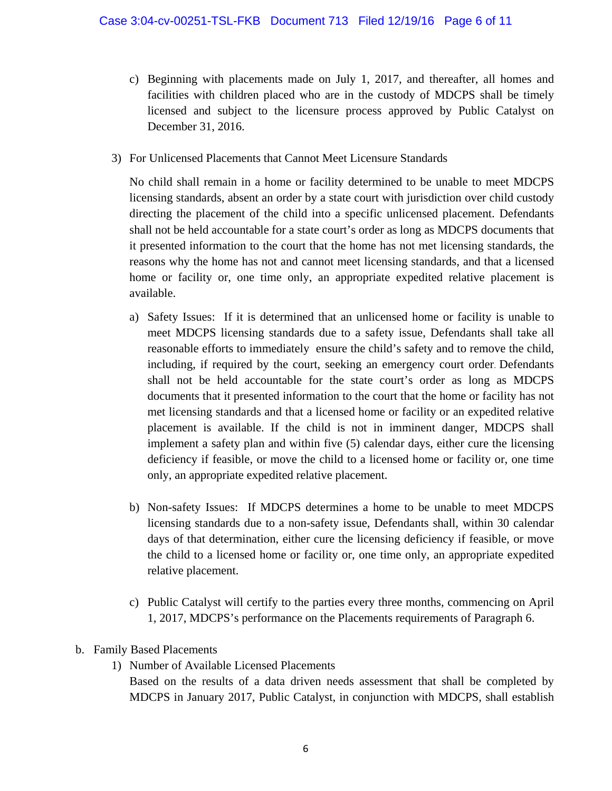- c) Beginning with placements made on July 1, 2017, and thereafter, all homes and facilities with children placed who are in the custody of MDCPS shall be timely licensed and subject to the licensure process approved by Public Catalyst on December 31, 2016.
- 3) For Unlicensed Placements that Cannot Meet Licensure Standards

No child shall remain in a home or facility determined to be unable to meet MDCPS licensing standards, absent an order by a state court with jurisdiction over child custody directing the placement of the child into a specific unlicensed placement. Defendants shall not be held accountable for a state court's order as long as MDCPS documents that it presented information to the court that the home has not met licensing standards, the reasons why the home has not and cannot meet licensing standards, and that a licensed home or facility or, one time only, an appropriate expedited relative placement is available.

- a) Safety Issues: If it is determined that an unlicensed home or facility is unable to meet MDCPS licensing standards due to a safety issue, Defendants shall take all reasonable efforts to immediately ensure the child's safety and to remove the child, including, if required by the court, seeking an emergency court order. Defendants shall not be held accountable for the state court's order as long as MDCPS documents that it presented information to the court that the home or facility has not met licensing standards and that a licensed home or facility or an expedited relative placement is available. If the child is not in imminent danger, MDCPS shall implement a safety plan and within five (5) calendar days, either cure the licensing deficiency if feasible, or move the child to a licensed home or facility or, one time only, an appropriate expedited relative placement.
- b) Non-safety Issues: If MDCPS determines a home to be unable to meet MDCPS licensing standards due to a non-safety issue, Defendants shall, within 30 calendar days of that determination, either cure the licensing deficiency if feasible, or move the child to a licensed home or facility or, one time only, an appropriate expedited relative placement.
- c) Public Catalyst will certify to the parties every three months, commencing on April 1, 2017, MDCPS's performance on the Placements requirements of Paragraph 6.
- b. Family Based Placements
	- 1) Number of Available Licensed Placements

Based on the results of a data driven needs assessment that shall be completed by MDCPS in January 2017, Public Catalyst, in conjunction with MDCPS, shall establish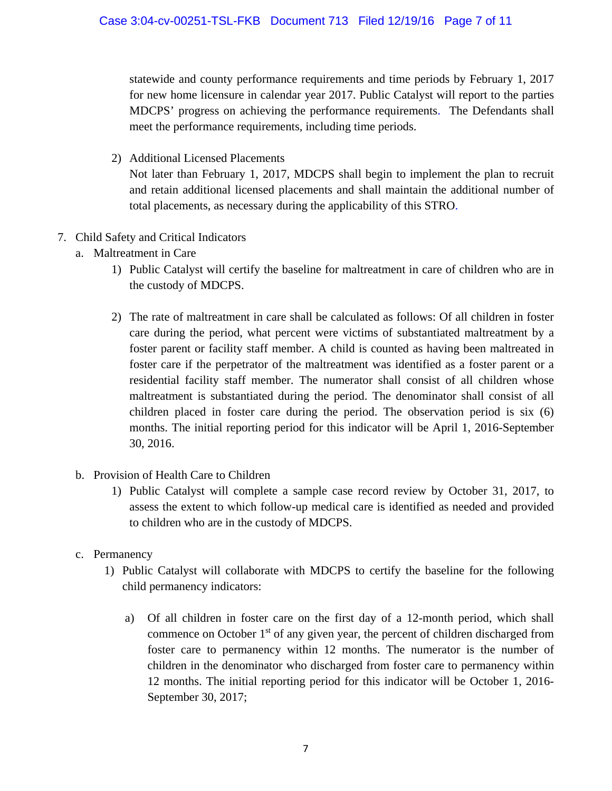statewide and county performance requirements and time periods by February 1, 2017 for new home licensure in calendar year 2017. Public Catalyst will report to the parties MDCPS' progress on achieving the performance requirements. The Defendants shall meet the performance requirements, including time periods.

2) Additional Licensed Placements

Not later than February 1, 2017, MDCPS shall begin to implement the plan to recruit and retain additional licensed placements and shall maintain the additional number of total placements, as necessary during the applicability of this STRO.

- 7. Child Safety and Critical Indicators
	- a. Maltreatment in Care
		- 1) Public Catalyst will certify the baseline for maltreatment in care of children who are in the custody of MDCPS.
		- 2) The rate of maltreatment in care shall be calculated as follows: Of all children in foster care during the period, what percent were victims of substantiated maltreatment by a foster parent or facility staff member. A child is counted as having been maltreated in foster care if the perpetrator of the maltreatment was identified as a foster parent or a residential facility staff member. The numerator shall consist of all children whose maltreatment is substantiated during the period. The denominator shall consist of all children placed in foster care during the period. The observation period is six (6) months. The initial reporting period for this indicator will be April 1, 2016-September 30, 2016.
	- b. Provision of Health Care to Children
		- 1) Public Catalyst will complete a sample case record review by October 31, 2017, to assess the extent to which follow-up medical care is identified as needed and provided to children who are in the custody of MDCPS.
	- c. Permanency
		- 1) Public Catalyst will collaborate with MDCPS to certify the baseline for the following child permanency indicators:
			- a) Of all children in foster care on the first day of a 12-month period, which shall commence on October 1<sup>st</sup> of any given year, the percent of children discharged from foster care to permanency within 12 months. The numerator is the number of children in the denominator who discharged from foster care to permanency within 12 months. The initial reporting period for this indicator will be October 1, 2016- September 30, 2017;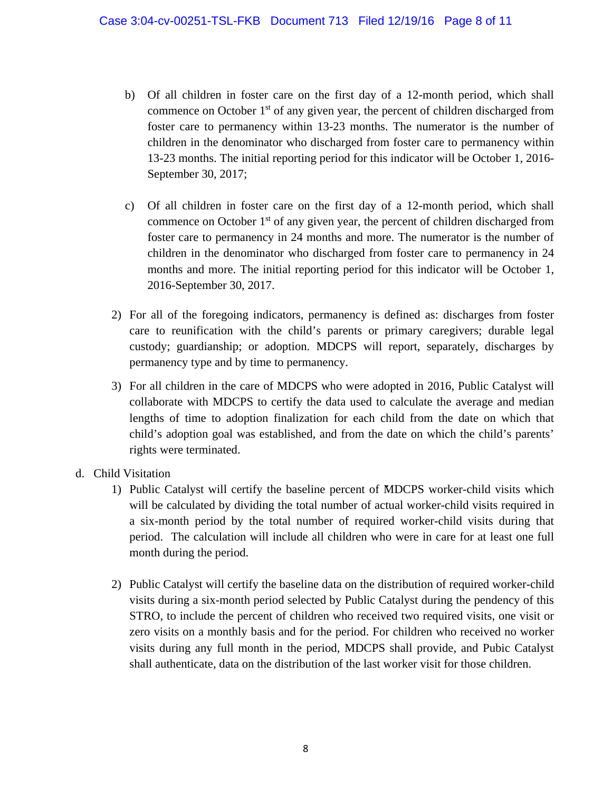- b) Of all children in foster care on the first day of a 12-month period, which shall commence on October  $1<sup>st</sup>$  of any given year, the percent of children discharged from foster care to permanency within 13-23 months. The numerator is the number of children in the denominator who discharged from foster care to permanency within 13-23 months. The initial reporting period for this indicator will be October 1, 2016- September 30, 2017;
- c) Of all children in foster care on the first day of a 12-month period, which shall commence on October  $1<sup>st</sup>$  of any given year, the percent of children discharged from foster care to permanency in 24 months and more. The numerator is the number of children in the denominator who discharged from foster care to permanency in 24 months and more. The initial reporting period for this indicator will be October 1, 2016-September 30, 2017.
- 2) For all of the foregoing indicators, permanency is defined as: discharges from foster care to reunification with the child's parents or primary caregivers; durable legal custody; guardianship; or adoption. MDCPS will report, separately, discharges by permanency type and by time to permanency.
- 3) For all children in the care of MDCPS who were adopted in 2016, Public Catalyst will collaborate with MDCPS to certify the data used to calculate the average and median lengths of time to adoption finalization for each child from the date on which that child's adoption goal was established, and from the date on which the child's parents' rights were terminated.
- d. Child Visitation
	- 1) Public Catalyst will certify the baseline percent of MDCPS worker-child visits which will be calculated by dividing the total number of actual worker-child visits required in a six-month period by the total number of required worker-child visits during that period. The calculation will include all children who were in care for at least one full month during the period.
	- 2) Public Catalyst will certify the baseline data on the distribution of required worker-child visits during a six-month period selected by Public Catalyst during the pendency of this STRO, to include the percent of children who received two required visits, one visit or zero visits on a monthly basis and for the period. For children who received no worker visits during any full month in the period, MDCPS shall provide, and Pubic Catalyst shall authenticate, data on the distribution of the last worker visit for those children.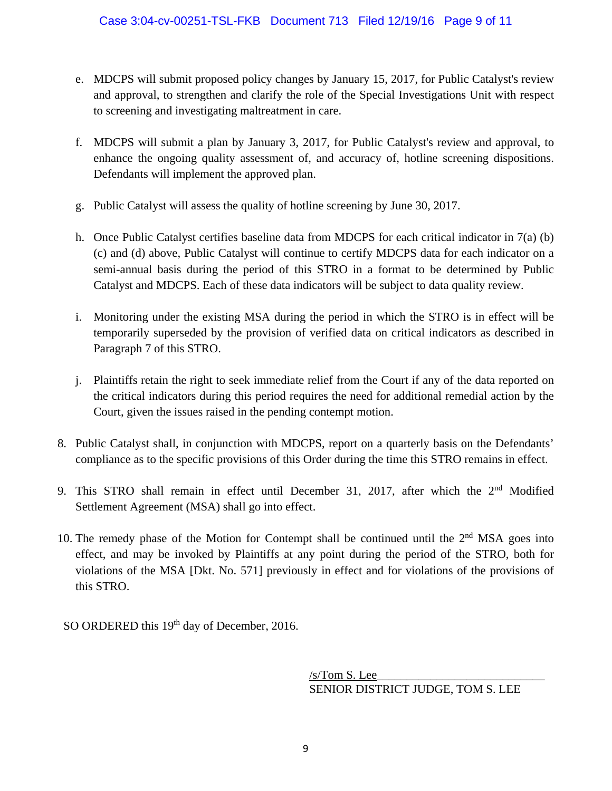- e. MDCPS will submit proposed policy changes by January 15, 2017, for Public Catalyst's review and approval, to strengthen and clarify the role of the Special Investigations Unit with respect to screening and investigating maltreatment in care.
- f. MDCPS will submit a plan by January 3, 2017, for Public Catalyst's review and approval, to enhance the ongoing quality assessment of, and accuracy of, hotline screening dispositions. Defendants will implement the approved plan.
- g. Public Catalyst will assess the quality of hotline screening by June 30, 2017.
- h. Once Public Catalyst certifies baseline data from MDCPS for each critical indicator in 7(a) (b) (c) and (d) above, Public Catalyst will continue to certify MDCPS data for each indicator on a semi-annual basis during the period of this STRO in a format to be determined by Public Catalyst and MDCPS. Each of these data indicators will be subject to data quality review.
- i. Monitoring under the existing MSA during the period in which the STRO is in effect will be temporarily superseded by the provision of verified data on critical indicators as described in Paragraph 7 of this STRO.
- j. Plaintiffs retain the right to seek immediate relief from the Court if any of the data reported on the critical indicators during this period requires the need for additional remedial action by the Court, given the issues raised in the pending contempt motion.
- 8. Public Catalyst shall, in conjunction with MDCPS, report on a quarterly basis on the Defendants' compliance as to the specific provisions of this Order during the time this STRO remains in effect.
- 9. This STRO shall remain in effect until December 31, 2017, after which the 2<sup>nd</sup> Modified Settlement Agreement (MSA) shall go into effect.
- 10. The remedy phase of the Motion for Contempt shall be continued until the  $2<sup>nd</sup> MSA$  goes into effect, and may be invoked by Plaintiffs at any point during the period of the STRO, both for violations of the MSA [Dkt. No. 571] previously in effect and for violations of the provisions of this STRO.

SO ORDERED this 19<sup>th</sup> day of December, 2016.

 $/s/T$ om S. Lee SENIOR DISTRICT JUDGE, TOM S. LEE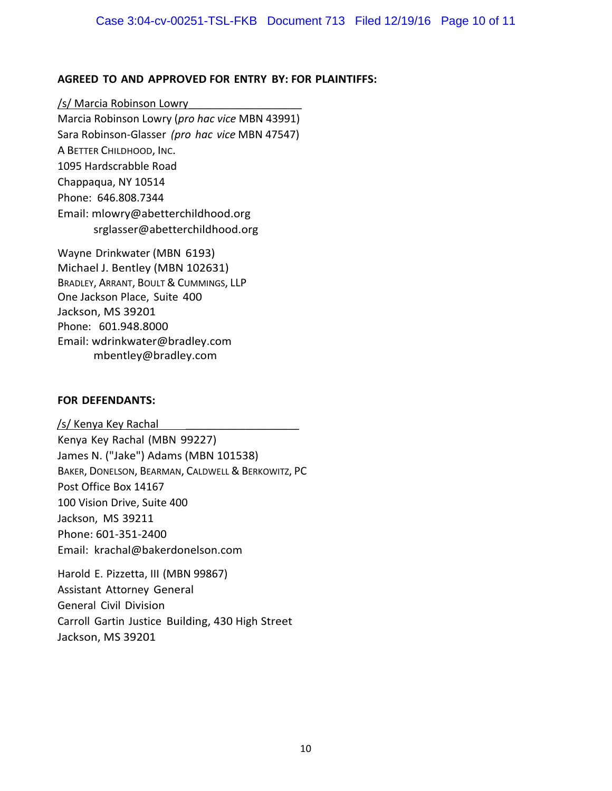### **AGREED TO AND APPROVED FOR ENTRY BY: FOR PLAINTIFFS:**

/s/ Marcia Robinson Lowry Marcia Robinson Lowry (*pro hac vice* MBN 43991) Sara Robinson‐Glasser *(pro hac vice* MBN 47547) A BETTER CHILDHOOD, INC. 1095 Hardscrabble Road Chappaqua, NY 10514 Phone: 646.808.7344 Email: mlowry@abetterchildhood.org srglasser@abetterchildhood.org

Wayne Drinkwater (MBN 6193) Michael J. Bentley (MBN 102631) BRADLEY, ARRANT, BOULT & CUMMINGS, LLP One Jackson Place, Suite 400 Jackson, MS 39201 Phone: 601.948.8000 Email: wdrinkwater@bradley.com mbentley@bradley.com

#### **FOR DEFENDANTS:**

/s/ Kenya Key Rachal Kenya Key Rachal (MBN 99227) James N. ("Jake") Adams (MBN 101538) BAKER, DONELSON, BEARMAN, CALDWELL & BERKOWITZ, PC Post Office Box 14167 100 Vision Drive, Suite 400 Jackson, MS 39211 Phone: 601‐351‐2400 Email: krachal@bakerdonelson.com

Harold E. Pizzetta, III (MBN 99867) Assistant Attorney General General Civil Division Carroll Gartin Justice Building, 430 High Street Jackson, MS 39201